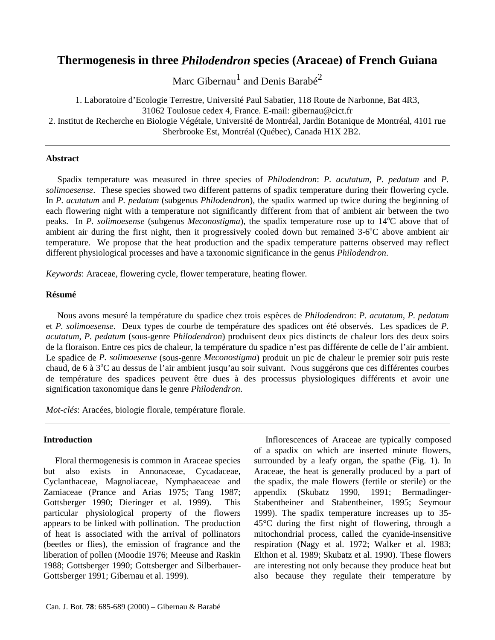# **Thermogenesis in three** *Philodendron* **species (Araceae) of French Guiana**

Marc Gibernau $^{\rm l}$  and Denis Barabé $^{\rm 2}$ 

1. Laboratoire d'Ecologie Terrestre, Université Paul Sabatier, 118 Route de Narbonne, Bat 4R3, 31062 Toulosue cedex 4, France. E-mail: gibernau@cict.fr 2. Institut de Recherche en Biologie Végétale, Université de Montréal, Jardin Botanique de Montréal, 4101 rue Sherbrooke Est, Montréal (Québec), Canada H1X 2B2.

### **Abstract**

Spadix temperature was measured in three species of *Philodendron*: *P. acutatum, P. pedatum* and *P. solimoesense*. These species showed two different patterns of spadix temperature during their flowering cycle. In *P. acutatum* and *P. pedatum* (subgenus *Philodendron*), the spadix warmed up twice during the beginning of each flowering night with a temperature not significantly different from that of ambient air between the two peaks. In *P. solimoesense* (subgenus *Meconostigma*), the spadix temperature rose up to 14°C above that of ambient air during the first night, then it progressively cooled down but remained  $3-6^{\circ}$ C above ambient air temperature. We propose that the heat production and the spadix temperature patterns observed may reflect different physiological processes and have a taxonomic significance in the genus *Philodendron*.

*Keywords*: Araceae, flowering cycle, flower temperature, heating flower.

### **Résumé**

Nous avons mesuré la température du spadice chez trois espèces de *Philodendron*: *P. acutatum*, *P. pedatum* et *P. solimoesense*. Deux types de courbe de température des spadices ont été observés. Les spadices de *P. acutatum*, *P. pedatum* (sous-genre *Philodendron*) produisent deux pics distincts de chaleur lors des deux soirs de la floraison. Entre ces pics de chaleur, la température du spadice n'est pas différente de celle de l'air ambient. Le spadice de *P. solimoesense* (sous-genre *Meconostigma*) produit un pic de chaleur le premier soir puis reste chaud, de 6 à 3°C au dessus de l'air ambient jusqu'au soir suivant. Nous suggérons que ces différentes courbes de température des spadices peuvent être dues à des processus physiologiques différents et avoir une signification taxonomique dans le genre *Philodendron*.

*Mot-clés*: Aracées, biologie florale, température florale.

## **Introduction**

Floral thermogenesis is common in Araceae species but also exists in Annonaceae, Cycadaceae, Cyclanthaceae, Magnoliaceae, Nymphaeaceae and Zamiaceae (Prance and Arias 1975; Tang 1987; Gottsberger 1990; Dieringer et al. 1999). This particular physiological property of the flowers appears to be linked with pollination. The production of heat is associated with the arrival of pollinators (beetles or flies), the emission of fragrance and the liberation of pollen (Moodie 1976; Meeuse and Raskin 1988; Gottsberger 1990; Gottsberger and Silberbauer-Gottsberger 1991; Gibernau et al. 1999).

Inflorescences of Araceae are typically composed of a spadix on which are inserted minute flowers, surrounded by a leafy organ, the spathe (Fig. 1). In Araceae, the heat is generally produced by a part of the spadix, the male flowers (fertile or sterile) or the appendix (Skubatz 1990, 1991; Bermadinger-Stabentheiner and Stabentheiner, 1995; Seymour 1999). The spadix temperature increases up to 35- 45°C during the first night of flowering, through a mitochondrial process, called the cyanide-insensitive respiration (Nagy et al. 1972; Walker et al. 1983; Elthon et al. 1989; Skubatz et al. 1990). These flowers are interesting not only because they produce heat but also because they regulate their temperature by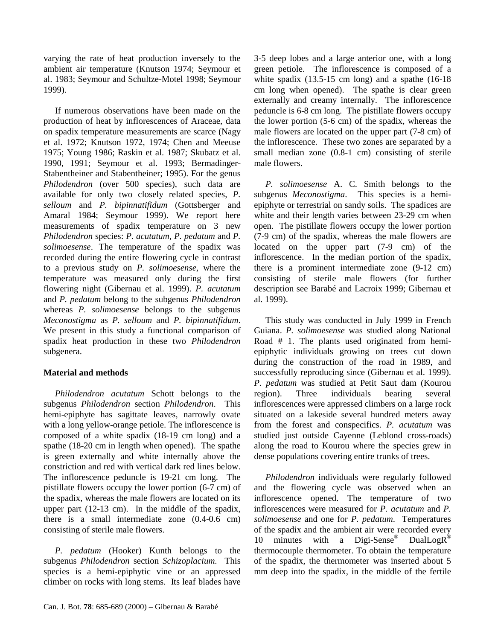varying the rate of heat production inversely to the ambient air temperature (Knutson 1974; Seymour et al. 1983; Seymour and Schultze-Motel 1998; Seymour 1999).

If numerous observations have been made on the production of heat by inflorescences of Araceae, data on spadix temperature measurements are scarce (Nagy et al. 1972; Knutson 1972, 1974; Chen and Meeuse 1975; Young 1986; Raskin et al. 1987; Skubatz et al. 1990, 1991; Seymour et al. 1993; Bermadinger-Stabentheiner and Stabentheiner; 1995). For the genus *Philodendron* (over 500 species), such data are available for only two closely related species, *P. selloum* and *P. bipinnatifidum* (Gottsberger and Amaral 1984; Seymour 1999). We report here measurements of spadix temperature on 3 new *Philodendron* species: *P. acutatum*, *P. pedatum* and *P. solimoesense*. The temperature of the spadix was recorded during the entire flowering cycle in contrast to a previous study on *P. solimoesense*, where the temperature was measured only during the first flowering night (Gibernau et al. 1999). *P. acutatum* and *P. pedatum* belong to the subgenus *Philodendron* whereas *P. solimoesense* belongs to the subgenus *Meconostigma* as *P. selloum* and *P. bipinnatifidum*. We present in this study a functional comparison of spadix heat production in these two *Philodendron* subgenera.

# **Material and methods**

*Philodendron acutatum* Schott belongs to the subgenus *Philodendron* section *Philodendron*. This hemi-epiphyte has sagittate leaves, narrowly ovate with a long yellow-orange petiole. The inflorescence is composed of a white spadix (18-19 cm long) and a spathe (18-20 cm in length when opened). The spathe is green externally and white internally above the constriction and red with vertical dark red lines below. The inflorescence peduncle is 19-21 cm long. The pistillate flowers occupy the lower portion (6-7 cm) of the spadix, whereas the male flowers are located on its upper part (12-13 cm). In the middle of the spadix, there is a small intermediate zone (0.4-0.6 cm) consisting of sterile male flowers.

*P. pedatum* (Hooker) Kunth belongs to the subgenus *Philodendron* section *Schizoplacium*. This species is a hemi-epiphytic vine or an appressed climber on rocks with long stems. Its leaf blades have 3-5 deep lobes and a large anterior one, with a long green petiole. The inflorescence is composed of a white spadix  $(13.5-15 \text{ cm long})$  and a spathe  $(16-18 \text{ cm})$ cm long when opened). The spathe is clear green externally and creamy internally. The inflorescence peduncle is 6-8 cm long. The pistillate flowers occupy the lower portion (5-6 cm) of the spadix, whereas the male flowers are located on the upper part (7-8 cm) of the inflorescence. These two zones are separated by a small median zone (0.8-1 cm) consisting of sterile male flowers.

*P. solimoesense* A. C. Smith belongs to the subgenus *Meconostigma*. This species is a hemiepiphyte or terrestrial on sandy soils. The spadices are white and their length varies between 23-29 cm when open. The pistillate flowers occupy the lower portion (7-9 cm) of the spadix, whereas the male flowers are located on the upper part (7-9 cm) of the inflorescence. In the median portion of the spadix, there is a prominent intermediate zone (9-12 cm) consisting of sterile male flowers (for further description see Barabé and Lacroix 1999; Gibernau et al. 1999).

This study was conducted in July 1999 in French Guiana. *P. solimoesense* was studied along National Road # 1. The plants used originated from hemiepiphytic individuals growing on trees cut down during the construction of the road in 1989, and successfully reproducing since (Gibernau et al. 1999). *P. pedatum* was studied at Petit Saut dam (Kourou region). Three individuals bearing several inflorescences were appressed climbers on a large rock situated on a lakeside several hundred meters away from the forest and conspecifics. *P. acutatum* was studied just outside Cayenne (Leblond cross-roads) along the road to Kourou where the species grew in dense populations covering entire trunks of trees.

*Philodendron* individuals were regularly followed and the flowering cycle was observed when an inflorescence opened. The temperature of two inflorescences were measured for *P. acutatum* and *P. solimoesense* and one for *P. pedatum*. Temperatures of the spadix and the ambient air were recorded every 10 minutes with a Digi-Sense<sup>®</sup> DualLogR<sup>®</sup> thermocouple thermometer. To obtain the temperature of the spadix, the thermometer was inserted about 5 mm deep into the spadix, in the middle of the fertile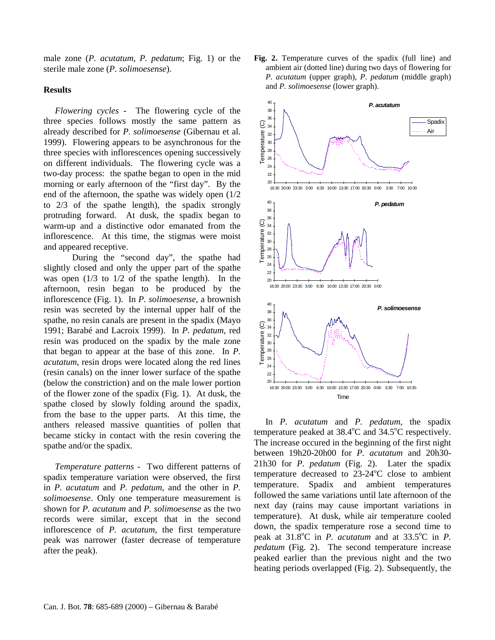male zone (*P. acutatum*, *P. pedatum*; Fig. 1) or the sterile male zone (*P. solimoesense*).

#### **Results**

*Flowering cycles* - The flowering cycle of the three species follows mostly the same pattern as already described for *P. solimoesense* (Gibernau et al. 1999). Flowering appears to be asynchronous for the three species with inflorescences opening successively on different individuals. The flowering cycle was a two-day process: the spathe began to open in the mid morning or early afternoon of the "first day". By the end of the afternoon, the spathe was widely open (1/2 to 2/3 of the spathe length), the spadix strongly protruding forward. At dusk, the spadix began to warm-up and a distinctive odor emanated from the inflorescence. At this time, the stigmas were moist and appeared receptive.

During the "second day", the spathe had slightly closed and only the upper part of the spathe was open  $(1/3$  to  $1/2$  of the spathe length). In the afternoon, resin began to be produced by the inflorescence (Fig. 1). In *P. solimoesense*, a brownish resin was secreted by the internal upper half of the spathe, no resin canals are present in the spadix (Mayo 1991; Barabé and Lacroix 1999). In *P. pedatum*, red resin was produced on the spadix by the male zone that began to appear at the base of this zone. In *P. acutatum*, resin drops were located along the red lines (resin canals) on the inner lower surface of the spathe (below the constriction) and on the male lower portion of the flower zone of the spadix (Fig. 1). At dusk, the spathe closed by slowly folding around the spadix, from the base to the upper parts. At this time, the anthers released massive quantities of pollen that became sticky in contact with the resin covering the spathe and/or the spadix.

*Temperature patterns* - Two different patterns of spadix temperature variation were observed, the first in *P. acutatum* and *P. pedatum*, and the other in *P. solimoesense*. Only one temperature measurement is shown for *P. acutatum* and *P. solimoesense* as the two records were similar, except that in the second inflorescence of *P. acutatum*, the first temperature peak was narrower (faster decrease of temperature after the peak).

**Fig. 2.** Temperature curves of the spadix (full line) and ambient air (dotted line) during two days of flowering for *P. acutatum* (upper graph), *P. pedatum* (middle graph) and *P. solimoesense* (lower graph).



In *P. acutatum* and *P. pedatum*, the spadix temperature peaked at  $38.4^{\circ}$ C and  $34.5^{\circ}$ C respectively. The increase occured in the beginning of the first night between 19h20-20h00 for *P. acutatum* and 20h30- 21h30 for *P. pedatum* (Fig. 2). Later the spadix temperature decreased to  $23\n-24$ °C close to ambient temperature. Spadix and ambient temperatures followed the same variations until late afternoon of the next day (rains may cause important variations in temperature). At dusk, while air temperature cooled down, the spadix temperature rose a second time to peak at  $31.8^{\circ}$ C in *P. acutatum* and at  $33.5^{\circ}$ C in *P. pedatum* (Fig. 2). The second temperature increase peaked earlier than the previous night and the two heating periods overlapped (Fig. 2). Subsequently, the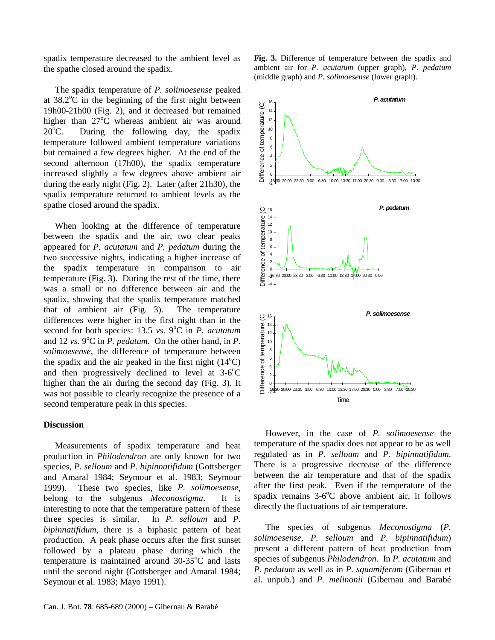spadix temperature decreased to the ambient level as the spathe closed around the spadix.

The spadix temperature of *P. solimoesense* peaked at  $38.2^{\circ}$ C in the beginning of the first night between 19h00-21h00 (Fig. 2), and it decreased but remained higher than  $27^{\circ}$ C whereas ambient air was around  $20^{\circ}$ C. During the following day, the spadix temperature followed ambient temperature variations but remained a few degrees higher. At the end of the second afternoon (17h00), the spadix temperature increased slightly a few degrees above ambient air during the early night (Fig. 2). Later (after 21h30), the spadix temperature returned to ambient levels as the spathe closed around the spadix.

When looking at the difference of temperature between the spadix and the air, two clear peaks appeared for *P. acutatum* and *P. pedatum* during the two successive nights, indicating a higher increase of the spadix temperature in comparison to air temperature (Fig. 3). During the rest of the time, there was a small or no difference between air and the spadix, showing that the spadix temperature matched that of ambient air (Fig. 3). The temperature differences were higher in the first night than in the second for both species: 13.5 *vs.* 9°C in *P. acutatum* and 12 *vs.* 9 $\degree$ C in  $\overline{P}$ . *pedatum*. On the other hand, in  $\overline{P}$ . *solimoesense*, the difference of temperature between the spadix and the air peaked in the first night  $(14^{\circ}C)$ and then progressively declined to level at  $3-6^{\circ}$ C higher than the air during the second day (Fig. 3). It was not possible to clearly recognize the presence of a second temperature peak in this species.

### **Discussion**

Measurements of spadix temperature and heat production in *Philodendron* are only known for two species, *P. selloum* and *P. bipinnatifidum* (Gottsberger and Amaral 1984; Seymour et al. 1983; Seymour 1999). These two species, like *P. solimoesense*, belong to the subgenus *Meconostigma*. It is interesting to note that the temperature pattern of these three species is similar. In *P. selloum* and *P. bipinnatifidum*, there is a biphasic pattern of heat production. A peak phase occurs after the first sunset followed by a plateau phase during which the temperature is maintained around  $30-35^{\circ}$ C and lasts until the second night (Gottsberger and Amaral 1984; Seymour et al. 1983; Mayo 1991).





However, in the case of *P. solimoesense* the temperature of the spadix does not appear to be as well regulated as in *P. selloum* and *P. bipinnatifidum*. There is a progressive decrease of the difference between the air temperature and that of the spadix after the first peak. Even if the temperature of the spadix remains  $3-6^{\circ}$ C above ambient air, it follows directly the fluctuations of air temperature.

The species of subgenus *Meconostigma* (*P. solimoesense*, *P. selloum* and *P. bipinnatifidum*) present a different pattern of heat production from species of subgenus *Philodendron*. In *P. acutatum* and *P. pedatum* as well as in *P. squamiferum* (Gibernau et al. unpub.) and *P. melinonii* (Gibernau and Barabé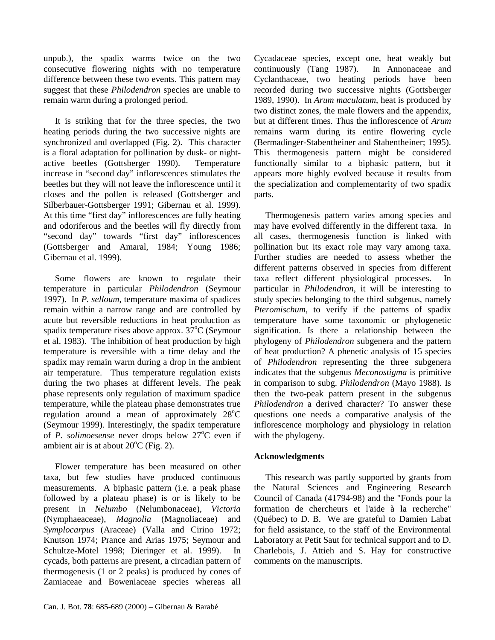unpub.), the spadix warms twice on the two consecutive flowering nights with no temperature difference between these two events. This pattern may suggest that these *Philodendron* species are unable to remain warm during a prolonged period.

It is striking that for the three species, the two heating periods during the two successive nights are synchronized and overlapped (Fig. 2). This character is a floral adaptation for pollination by dusk- or nightactive beetles (Gottsberger 1990). Temperature increase in "second day" inflorescences stimulates the beetles but they will not leave the inflorescence until it closes and the pollen is released (Gottsberger and Silberbauer-Gottsberger 1991; Gibernau et al. 1999). At this time "first day" inflorescences are fully heating and odoriferous and the beetles will fly directly from "second day" towards "first day" inflorescences (Gottsberger and Amaral, 1984; Young 1986; Gibernau et al. 1999).

Some flowers are known to regulate their temperature in particular *Philodendron* (Seymour 1997). In *P. selloum*, temperature maxima of spadices remain within a narrow range and are controlled by acute but reversible reductions in heat production as spadix temperature rises above approx.  $37^{\circ}$ C (Seymour et al. 1983). The inhibition of heat production by high temperature is reversible with a time delay and the spadix may remain warm during a drop in the ambient air temperature. Thus temperature regulation exists during the two phases at different levels. The peak phase represents only regulation of maximum spadice temperature, while the plateau phase demonstrates true regulation around a mean of approximately 28°C (Seymour 1999). Interestingly, the spadix temperature of *P. solimoesense* never drops below 27°C even if ambient air is at about  $20^{\circ}$ C (Fig. 2).

Flower temperature has been measured on other taxa, but few studies have produced continuous measurements. A biphasic pattern (i.e. a peak phase followed by a plateau phase) is or is likely to be present in *Nelumbo* (Nelumbonaceae), *Victoria* (Nymphaeaceae), *Magnolia* (Magnoliaceae) and *Symplocarpus* (Araceae) (Valla and Cirino 1972; Knutson 1974; Prance and Arias 1975; Seymour and Schultze-Motel 1998; Dieringer et al. 1999). In cycads, both patterns are present, a circadian pattern of thermogenesis (1 or 2 peaks) is produced by cones of Zamiaceae and Boweniaceae species whereas all

Cycadaceae species, except one, heat weakly but continuously (Tang 1987). In Annonaceae and Cyclanthaceae, two heating periods have been recorded during two successive nights (Gottsberger 1989, 1990). In *Arum maculatum*, heat is produced by two distinct zones, the male flowers and the appendix, but at different times. Thus the inflorescence of *Arum* remains warm during its entire flowering cycle (Bermadinger-Stabentheiner and Stabentheiner; 1995). This thermogenesis pattern might be considered functionally similar to a biphasic pattern, but it appears more highly evolved because it results from the specialization and complementarity of two spadix parts.

Thermogenesis pattern varies among species and may have evolved differently in the different taxa. In all cases, thermogenesis function is linked with pollination but its exact role may vary among taxa. Further studies are needed to assess whether the different patterns observed in species from different taxa reflect different physiological processes. In particular in *Philodendron*, it will be interesting to study species belonging to the third subgenus, namely *Pteromischum*, to verify if the patterns of spadix temperature have some taxonomic or phylogenetic signification. Is there a relationship between the phylogeny of *Philodendron* subgenera and the pattern of heat production? A phenetic analysis of 15 species of *Philodendron* representing the three subgenera indicates that the subgenus *Meconostigma* is primitive in comparison to subg. *Philodendron* (Mayo 1988). Is then the two-peak pattern present in the subgenus *Philodendron* a derived character? To answer these questions one needs a comparative analysis of the inflorescence morphology and physiology in relation with the phylogeny.

## **Acknowledgments**

This research was partly supported by grants from the Natural Sciences and Engineering Research Council of Canada (41794-98) and the "Fonds pour la formation de chercheurs et l'aide à la recherche" (Québec) to D. B. We are grateful to Damien Labat for field assistance, to the staff of the Environmental Laboratory at Petit Saut for technical support and to D. Charlebois, J. Attieh and S. Hay for constructive comments on the manuscripts.